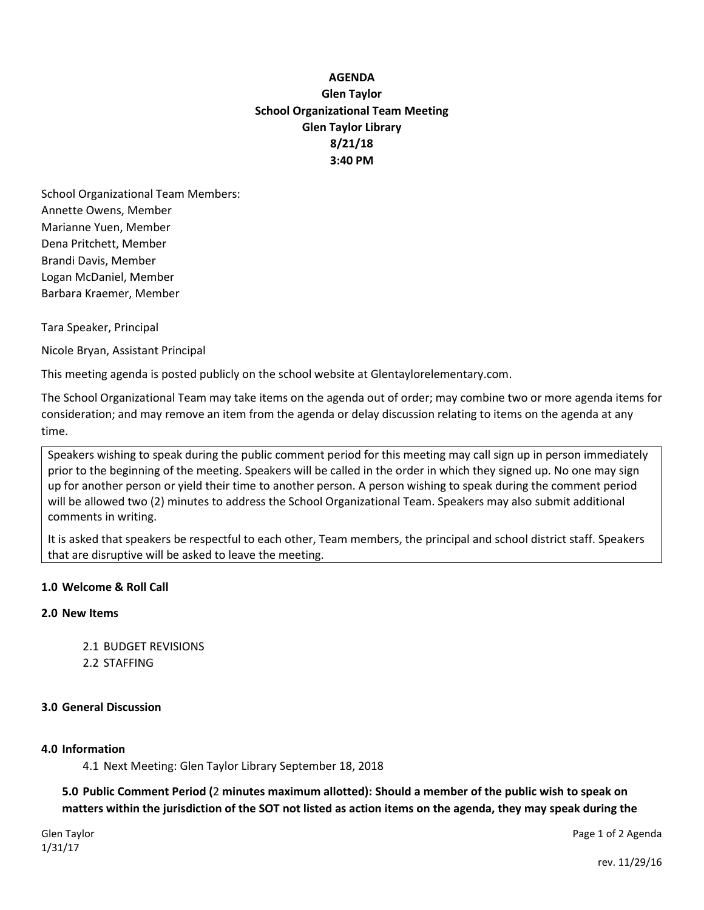# **AGENDA Glen Taylor School Organizational Team Meeting Glen Taylor Library 8/21/18 3:40 PM**

School Organizational Team Members: Annette Owens, Member Marianne Yuen, Member Dena Pritchett, Member Brandi Davis, Member Logan McDaniel, Member Barbara Kraemer, Member

Tara Speaker, Principal

Nicole Bryan, Assistant Principal

This meeting agenda is posted publicly on the school website at Glentaylorelementary.com.

The School Organizational Team may take items on the agenda out of order; may combine two or more agenda items for consideration; and may remove an item from the agenda or delay discussion relating to items on the agenda at any time.

Speakers wishing to speak during the public comment period for this meeting may call sign up in person immediately prior to the beginning of the meeting. Speakers will be called in the order in which they signed up. No one may sign up for another person or yield their time to another person. A person wishing to speak during the comment period will be allowed two (2) minutes to address the School Organizational Team. Speakers may also submit additional comments in writing.

It is asked that speakers be respectful to each other, Team members, the principal and school district staff. Speakers that are disruptive will be asked to leave the meeting.

# **1.0 Welcome & Roll Call**

## **2.0 New Items**

2.1 BUDGET REVISIONS 2.2 STAFFING

### **3.0 General Discussion**

### **4.0 Information**

4.1 Next Meeting: Glen Taylor Library September 18, 2018

**5.0 Public Comment Period (**2 **minutes maximum allotted): Should a member of the public wish to speak on matters within the jurisdiction of the SOT not listed as action items on the agenda, they may speak during the** 

Glen Taylor Page 1 of 2 Agenda